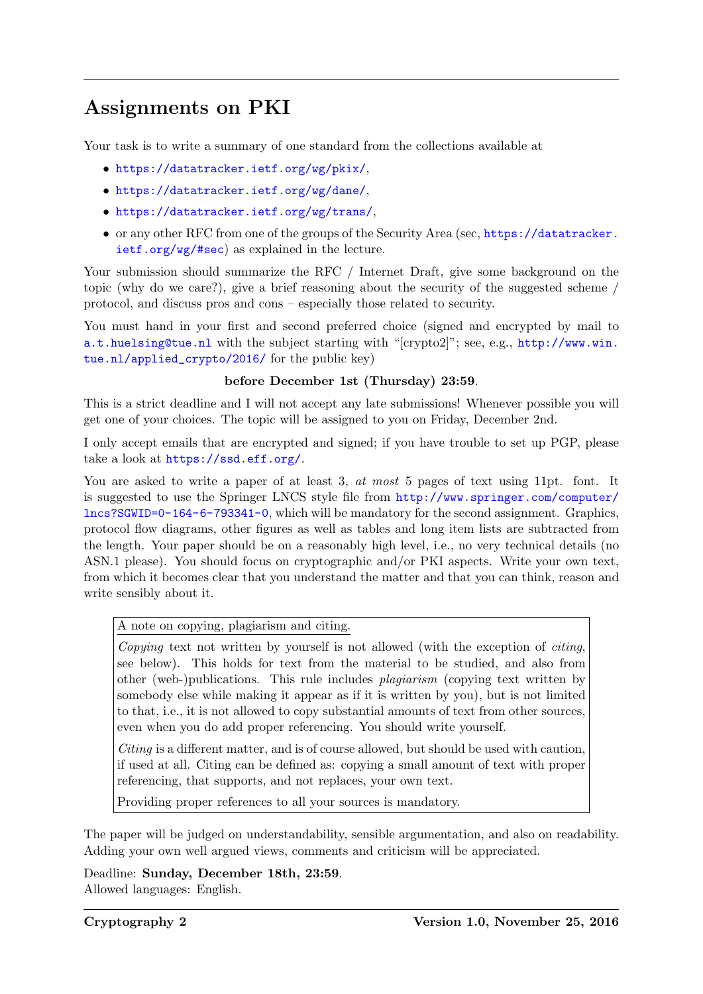## Assignments on PKI

Your task is to write a summary of one standard from the collections available at

- <https://datatracker.ietf.org/wg/pkix/>,
- <https://datatracker.ietf.org/wg/dane/>,
- <https://datatracker.ietf.org/wg/trans/>,
- or any other RFC from one of the groups of the Security Area (sec, [https://datatracker.](https://datatracker.ietf.org/wg/#sec) [ietf.org/wg/#sec](https://datatracker.ietf.org/wg/#sec)) as explained in the lecture.

Your submission should summarize the RFC / Internet Draft, give some background on the topic (why do we care?), give a brief reasoning about the security of the suggested scheme / protocol, and discuss pros and cons – especially those related to security.

You must hand in your first and second preferred choice (signed and encrypted by mail to [a.t.huelsing@tue.nl](mailto:a.t.huelsing@tue.nl) with the subject starting with "[crypto2]"; see, e.g., [http://www.win.](http://www.win.tue.nl/applied_crypto/2016/) [tue.nl/applied\\_crypto/2016/](http://www.win.tue.nl/applied_crypto/2016/) for the public key)

## before December 1st (Thursday) 23:59.

This is a strict deadline and I will not accept any late submissions! Whenever possible you will get one of your choices. The topic will be assigned to you on Friday, December 2nd.

I only accept emails that are encrypted and signed; if you have trouble to set up PGP, please take a look at <https://ssd.eff.org/>.

You are asked to write a paper of at least 3, at most 5 pages of text using 11pt. font. It is suggested to use the Springer LNCS style file from [http://www.springer.com/computer/](http://www.springer.com/computer/lncs?SGWID=0-164-6-793341-0) [lncs?SGWID=0-164-6-793341-0](http://www.springer.com/computer/lncs?SGWID=0-164-6-793341-0), which will be mandatory for the second assignment. Graphics, protocol flow diagrams, other figures as well as tables and long item lists are subtracted from the length. Your paper should be on a reasonably high level, i.e., no very technical details (no ASN.1 please). You should focus on cryptographic and/or PKI aspects. Write your own text, from which it becomes clear that you understand the matter and that you can think, reason and write sensibly about it.

A note on copying, plagiarism and citing.

Copying text not written by yourself is not allowed (with the exception of citing, see below). This holds for text from the material to be studied, and also from other (web-)publications. This rule includes plagiarism (copying text written by somebody else while making it appear as if it is written by you), but is not limited to that, i.e., it is not allowed to copy substantial amounts of text from other sources, even when you do add proper referencing. You should write yourself.

Citing is a different matter, and is of course allowed, but should be used with caution, if used at all. Citing can be defined as: copying a small amount of text with proper referencing, that supports, and not replaces, your own text.

Providing proper references to all your sources is mandatory.

The paper will be judged on understandability, sensible argumentation, and also on readability. Adding your own well argued views, comments and criticism will be appreciated.

Deadline: Sunday, December 18th, 23:59. Allowed languages: English.